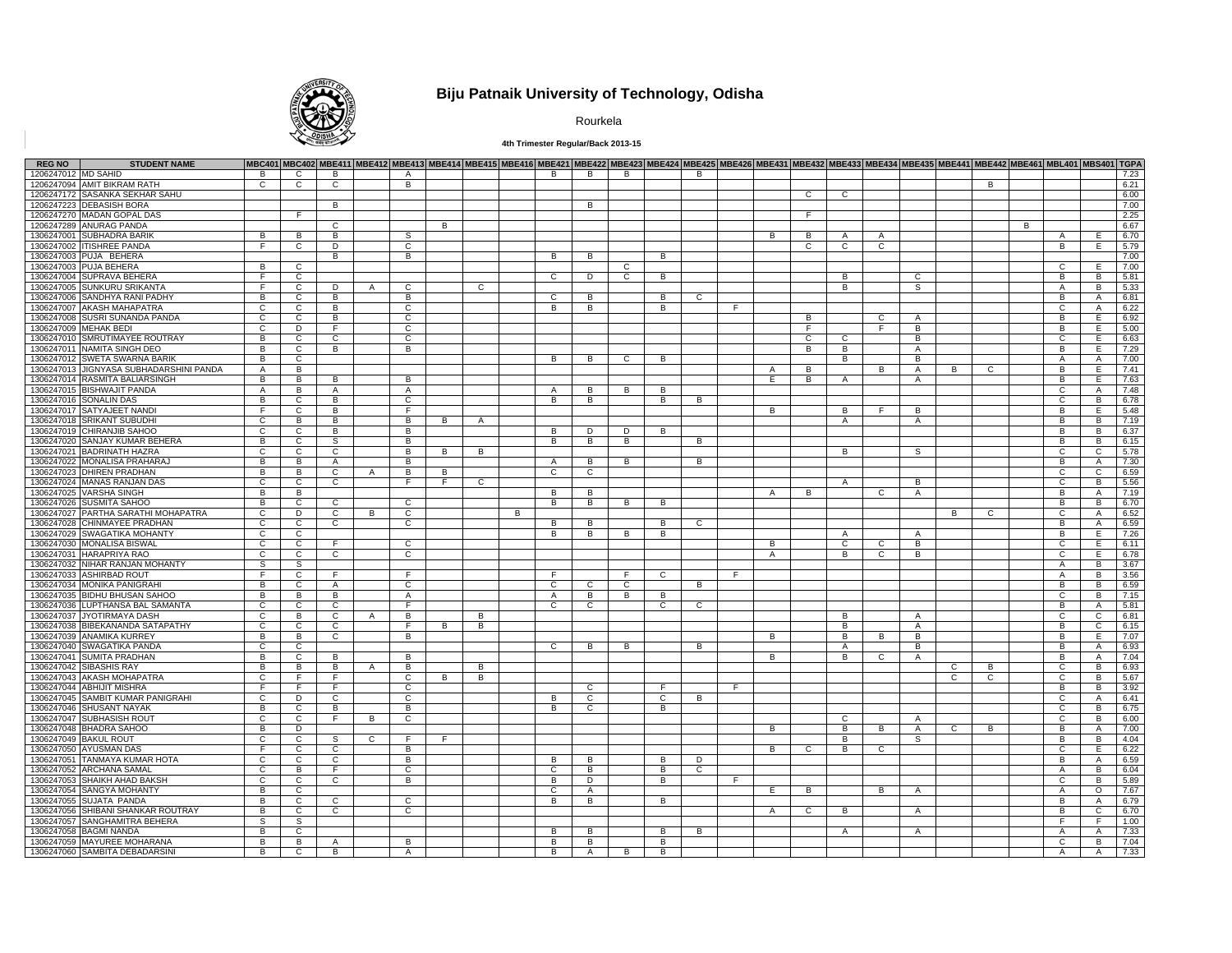

# **Biju Patnaik University of Technology, Odisha**

Rourkela

### **4th Trimester Regular/Back 2013-15**

| <b>REG NO</b>         | <b>STUDENT NAME</b>                     |                |                |                |              |                |    |                |   |                |              |                |   |              |    |   |                |                | MBC401 MBC402 MBE411 MBE412 MBE413 MBE414 MBE415 MBE416 MBE421 MBE422 MBE423 MBE424 MBE425 MBE426 MBE431 MBE432 MBE433 MBE433 MBE435 MBE444 MBE442 MBE461 MBL401 MBS401 TGPA |                |    |          |   |                |                |              |
|-----------------------|-----------------------------------------|----------------|----------------|----------------|--------------|----------------|----|----------------|---|----------------|--------------|----------------|---|--------------|----|---|----------------|----------------|------------------------------------------------------------------------------------------------------------------------------------------------------------------------------|----------------|----|----------|---|----------------|----------------|--------------|
| 1206247012 MD SAHID   |                                         | <b>B</b>       | $\mathbf{C}$   | B              |              | $\mathsf{A}$   |    |                |   | B              | B            | B              |   | B            |    |   |                |                |                                                                                                                                                                              |                |    |          |   |                |                | 7.23         |
|                       | 1206247094 AMIT BIKRAM RATH             | $\overline{c}$ | $\overline{c}$ | $\overline{c}$ |              | $\overline{B}$ |    |                |   |                |              |                |   |              |    |   |                |                |                                                                                                                                                                              |                |    | <b>B</b> |   |                |                | 6.21         |
|                       | 1206247172 SASANKA SEKHAR SAHU          |                |                |                |              |                |    |                |   |                |              |                |   |              |    |   | $\mathbf{C}$   | $\mathsf{C}$   |                                                                                                                                                                              |                |    |          |   |                |                | 6.00         |
|                       | 1206247223 DEBASISH BORA                |                |                | в              |              |                |    |                |   |                | в            |                |   |              |    |   |                |                |                                                                                                                                                                              |                |    |          |   |                |                | 7.00         |
|                       | 1206247270 MADAN GOPAL DAS              |                | E              |                |              |                |    |                |   |                |              |                |   |              |    |   | F.             |                |                                                                                                                                                                              |                |    |          |   |                |                | 2.25         |
|                       | 1206247289 ANURAG PANDA                 |                |                | $\overline{c}$ |              |                | B  |                |   |                |              |                |   |              |    |   |                |                |                                                                                                                                                                              |                |    |          | B |                |                | 6.67         |
|                       | 1306247001 SUBHADRA BARIK               | B              | $\overline{B}$ | B              |              | s              |    |                |   |                |              |                |   |              |    | B | B              | A              | $\mathsf{A}$                                                                                                                                                                 |                |    |          |   | $\mathsf{A}$   | Е              | 6.70         |
|                       | 1306247002 ITISHREE PANDA               | F              | $\mathsf{C}$   | D              |              | C              |    |                |   |                |              |                |   |              |    |   | C              | $\mathsf{C}$   | $\mathsf{C}$                                                                                                                                                                 |                |    |          |   | B              | E              | 5.79         |
|                       | 1306247003 PUJA BEHERA                  |                |                | B              |              | В              |    |                |   | B              | B            |                | В |              |    |   |                |                |                                                                                                                                                                              |                |    |          |   |                |                | 7.00         |
|                       | 1306247003 PUJA BEHERA                  | B              | $\overline{c}$ |                |              |                |    |                |   |                |              | C              |   |              |    |   |                |                |                                                                                                                                                                              |                |    |          |   | C              | Е              | 7.00         |
|                       | 1306247004 SUPRAVA BEHERA               | $\overline{F}$ | $\overline{c}$ |                |              |                |    |                |   | $\mathbf{C}$   | D            | $\overline{c}$ | B |              |    |   |                | B              |                                                                                                                                                                              | $\overline{c}$ |    |          |   | B              | B              | 5.81         |
|                       | 1306247005 SUNKURU SRIKANTA             | F              | $\overline{c}$ | Þ              | $\mathsf{A}$ | C              |    | C              |   |                |              |                |   |              |    |   |                | B              |                                                                                                                                                                              | s              |    |          |   | Α              | B              | 5.33         |
|                       | 1306247006 SANDHYA RANI PADHY           | B              | $\mathsf{C}$   | В              |              | B              |    |                |   | $\mathbf{C}$   | B            |                | B | $\mathbf{C}$ |    |   |                |                |                                                                                                                                                                              |                |    |          |   | B              |                | 6.81         |
|                       | 1306247007 AKASH MAHAPATRA              |                |                |                |              |                |    |                |   | B.             |              |                |   |              |    |   |                |                |                                                                                                                                                                              |                |    |          |   |                | A              | 6.22         |
|                       |                                         | C              | $\mathbf{C}$   | B              |              | C              |    |                |   |                | B            |                | в |              |    |   |                |                |                                                                                                                                                                              |                |    |          |   | C              | $\mathsf{A}$   |              |
|                       | 1306247008 SUSRI SUNANDA PANDA          | $\overline{c}$ | $\overline{c}$ | B              |              | $\overline{c}$ |    |                |   |                |              |                |   |              |    |   | B              |                | C                                                                                                                                                                            | $\overline{A}$ |    |          |   | в              | E              | 6.92         |
| 1306247009 MEHAK BEDI |                                         | $\overline{c}$ | D              | F              |              | $\overline{c}$ |    |                |   |                |              |                |   |              |    |   | F              |                | F                                                                                                                                                                            | В              |    |          |   | B              | E              | 5.00         |
|                       | 1306247010 SMRUTIMAYEE ROUTRAY          | B              | $\overline{c}$ | C              |              | $\overline{c}$ |    |                |   |                |              |                |   |              |    |   | $\overline{c}$ | C              |                                                                                                                                                                              | В              |    |          |   | $\overline{c}$ | Е              | 6.63         |
|                       | 1306247011 NAMITA SINGH DEO             | B              | $\mathsf{C}$   | B              |              | В              |    |                |   |                |              |                |   |              |    |   | B              | B              |                                                                                                                                                                              | Α              |    |          |   | B              | E              | 7.29         |
|                       | 1306247012 SWETA SWARNA BARIK           | B              | $\mathbf{C}$   |                |              |                |    |                |   | B              | в            | C              | В |              |    |   |                | B              |                                                                                                                                                                              | B              |    |          |   | A              | A              | 7.00         |
|                       | 1306247013 JIGNYASA SUBHADARSHINI PANDA | $\mathsf{A}$   | $\overline{B}$ |                |              |                |    |                |   |                |              |                |   |              |    | A | B              |                | B                                                                                                                                                                            | $\mathsf{A}$   | В  | C        |   | В              | Ε              | 7.41         |
|                       | 1306247014 RASMITA BALIARSINGH          | B              | B              | B              |              | B              |    |                |   |                |              |                |   |              |    | E | R.             | $\mathsf{A}$   |                                                                                                                                                                              | $\overline{A}$ |    |          |   | B              | E              | 7.63         |
|                       | 1306247015 BISHWAJIT PANDA              | $\mathsf{A}$   | B              | A              |              | A              |    |                |   | A              | B            | B              | В |              |    |   |                |                |                                                                                                                                                                              |                |    |          |   | C              | A              | 7.48         |
|                       | 1306247016 SONALIN DAS                  | B              | $\mathsf{C}$   | В              |              | $\mathbf{C}$   |    |                |   | B              | B            |                | B | B            |    |   |                |                |                                                                                                                                                                              |                |    |          |   | C              | B              | 6.78         |
|                       | 1306247017 SATYAJEET NAND               | F.             | $\mathbf{C}$   | B              |              | F              |    |                |   |                |              |                |   |              |    | в |                | В              |                                                                                                                                                                              | В              |    |          |   | в              | E              | 5.48         |
|                       | 1306247018 SRIKANT SUBUDHI              | $\overline{c}$ | Б              | B              |              | B              | B  | $\overline{A}$ |   |                |              |                |   |              |    |   |                | $\overline{A}$ |                                                                                                                                                                              | $\overline{A}$ |    |          |   | В              | B              | 7.19         |
|                       | 1306247019 CHIRANJIB SAHOO              | $\mathbf{C}$   | C              | B              |              | B              |    |                |   | B              | D            | D              | В |              |    |   |                |                |                                                                                                                                                                              |                |    |          |   | В              | B              | 6.37         |
|                       | 1306247020 SANJAY KUMAR BEHERA          | B              | C              | S              |              | В              |    |                |   | B              | B            | $\overline{B}$ |   | B            |    |   |                |                |                                                                                                                                                                              |                |    |          |   | В              | В              | 6.15         |
|                       | 1306247021 BADRINATH HAZRA              | $\mathbf{C}$   | $\mathsf{C}$   | C              |              | B              | B  | В              |   |                |              |                |   |              |    |   |                | B              |                                                                                                                                                                              | S              |    |          |   | C              | $\mathbf{C}$   | 5.78         |
|                       | 1306247022 MONALISA PRAHARA             | B              | B              | $\mathsf{A}$   |              | B              |    |                |   | A              | B            | B              |   | B            |    |   |                |                |                                                                                                                                                                              |                |    |          |   | в              | A              | 7.30         |
|                       | 1306247023 DHIREN PRADHAN               | B              | $\overline{B}$ | C              | A            | B              | B  |                |   | $\overline{c}$ | C            |                |   |              |    |   |                |                |                                                                                                                                                                              |                |    |          |   | C              | $\overline{c}$ | 6.59         |
|                       | 1306247024 MANAS RANJAN DAS             | $\mathbf{C}$   | $\mathsf{C}$   | $\overline{c}$ |              | F              | F. | $\mathbf{C}$   |   |                |              |                |   |              |    |   |                | A              |                                                                                                                                                                              | B              |    |          |   | C              | B              | 5.56         |
|                       | 1306247025 VARSHA SINGH                 | B              | B              |                |              |                |    |                |   | B              | B            |                |   |              |    | A | B              |                | $\mathbf{C}$                                                                                                                                                                 | A              |    |          |   | В              | A              | 7.19         |
|                       | 1306247026 SUSMITA SAHOO                | B              | $\mathsf{C}$   | C              |              | $\mathbf C$    |    |                |   | B              | B            | B              | В |              |    |   |                |                |                                                                                                                                                                              |                |    |          |   | B              | B              | 6.70         |
|                       | 1306247027 PARTHA SARATHI MOHAPATRA     | C              | D              | $\mathbf{C}$   | B            | C              |    |                | в |                |              |                |   |              |    |   |                |                |                                                                                                                                                                              |                | B  | C        |   | C              | $\mathsf{A}$   | 6.52         |
|                       | 1306247028 CHINMAYEE PRADHAN            | $\overline{c}$ | $\overline{c}$ | C              |              | C              |    |                |   | B              | В            |                | В | C            |    |   |                |                |                                                                                                                                                                              |                |    |          |   | в              | A              | 6.59         |
|                       | 1306247029 SWAGATIKA MOHANTY            | $\mathbf{C}$   | C              |                |              |                |    |                |   | B              |              | B              | B |              |    |   |                | $\mathsf{A}$   |                                                                                                                                                                              | $\overline{A}$ |    |          |   | В              | E              | 7.26         |
|                       |                                         |                |                |                |              | C              |    |                |   |                | В            |                |   |              |    |   |                |                |                                                                                                                                                                              |                |    |          |   |                | Е              |              |
|                       | 1306247030 MONALISA BISWAL              | C              | C              | F.             |              |                |    |                |   |                |              |                |   |              |    | В |                | C              | C                                                                                                                                                                            | В              |    |          |   | С              |                | 6.11         |
|                       | 1306247031 HARAPRIYA RAO                | $\mathsf{C}$   | $\mathsf{C}$   | $\mathbf{C}$   |              | $\mathbf{C}$   |    |                |   |                |              |                |   |              |    | A |                | B              | $\mathsf{C}$                                                                                                                                                                 | В              |    |          |   | $\mathbf{C}$   | E              | 6.78         |
|                       | 1306247032 NIHAR RANJAN MOHANTY         | S              | S.             |                |              |                |    |                |   |                |              |                |   |              |    |   |                |                |                                                                                                                                                                              |                |    |          |   | A              | B              | 3.67         |
|                       | 1306247033 ASHIRBAD ROUT                | -F             | $\overline{c}$ | F.             |              | E              |    |                |   | F.             |              | F.             | C |              | E  |   |                |                |                                                                                                                                                                              |                |    |          |   | $\mathsf{A}$   | B              | 3.56         |
|                       | 1306247034 MONIKA PANIGRAHI             | B              | $\mathsf{C}$   | Α              |              | $\mathsf{C}$   |    |                |   | $\mathbf{C}$   | C            | $\mathbf{C}$   |   | B            |    |   |                |                |                                                                                                                                                                              |                |    |          |   | B              | B              | 6.59         |
|                       | 1306247035 BIDHU BHUSAN SAHOO           | B              | B              | B              |              | A              |    |                |   | A              | B            | B              | В |              |    |   |                |                |                                                                                                                                                                              |                |    |          |   | С              | B              | 7.15         |
|                       | 1306247036 LUPTHANSA BAL SAMANTA        | C              | $\mathsf{C}$   | C              |              | E              |    |                |   | C              | $\mathsf{C}$ |                | C | $\mathbf{C}$ |    |   |                |                |                                                                                                                                                                              |                |    |          |   | B              | $\mathsf{A}$   | 5.81         |
|                       | 1306247037 JYOTIRMAYA DASH              | C              | B              | $\overline{c}$ | A            | B              |    | в              |   |                |              |                |   |              |    |   |                | B              |                                                                                                                                                                              | A              |    |          |   | C              | C              | 6.81         |
|                       | 1306247038 BIBEKANANDA SATAPATHY        | c              | $\overline{c}$ | C              |              | F              | B  | B              |   |                |              |                |   |              |    |   |                | B              |                                                                                                                                                                              | A              |    |          |   | в              | C              | 6.15         |
|                       | 1306247039 ANAMIKA KURREY               | B              | B              | $\overline{c}$ |              | B              |    |                |   |                |              |                |   |              |    | B |                | B              | B                                                                                                                                                                            | В              |    |          |   | В              | E              | 7.07         |
|                       | 1306247040 SWAGATIKA PANDA              | C              | C              |                |              |                |    |                |   | $\mathbf{C}$   | B            | B              |   | B            |    |   |                | Α              |                                                                                                                                                                              | В              |    |          |   | В              | Α              | 6.93         |
|                       | 1306247041 SUMITA PRADHAN               | B              | $\mathsf{C}$   | B              |              | B              |    |                |   |                |              |                |   |              |    | В |                | B              | $\mathsf{C}$                                                                                                                                                                 | A              |    |          |   | B              | A              | 7.04         |
|                       | 1306247042 SIBASHIS RAY                 | B              | B              | B              | A            | B              |    | в              |   |                |              |                |   |              |    |   |                |                |                                                                                                                                                                              |                | С  | B        |   | C              | B              | 6.93         |
|                       | 1306247043 AKASH MOHAPATRA              | C              | F.             | F.             |              | C              | B  | B              |   |                |              |                |   |              |    |   |                |                |                                                                                                                                                                              |                | C. | C        |   | C              | B              | 5.67         |
|                       | 1306247044 ABHIJIT MISHRA               | F              | F.             | F              |              | $\mathbf C$    |    |                |   |                | $\mathbf{C}$ |                | E |              | E  |   |                |                |                                                                                                                                                                              |                |    |          |   | В              | B              | 3.92         |
|                       | 1306247045 SAMBIT KUMAR PANIGRAHI       | c              | Þ              | C              |              | $\overline{c}$ |    |                |   | B              | C            |                | С | B            |    |   |                |                |                                                                                                                                                                              |                |    |          |   | С              | A              | 6.41         |
|                       | 1306247046 SHUSANT NAYAK                | B              | $\mathsf{C}$   | B              |              | B              |    |                |   | B              | C            |                | B |              |    |   |                |                |                                                                                                                                                                              |                |    |          |   | C              | B              | 6.75         |
|                       | 1306247047 SUBHASISH ROUT               | C              | C              | $\mathsf{F}$   | В            | C              |    |                |   |                |              |                |   |              |    |   |                | C              |                                                                                                                                                                              | A              |    |          |   | C              | B              | 6.00         |
|                       | 1306247048 BHADRA SAHOO                 | B              | D              |                |              |                |    |                |   |                |              |                |   |              |    | B |                | B              | B                                                                                                                                                                            | $\mathsf{A}$   | C  | B        |   | в              | A              | 7.00         |
|                       | 1306247049 BAKUL ROUT                   | C              | $\mathsf{C}$   | s              | C            | F              | E  |                |   |                |              |                |   |              |    |   |                | B              |                                                                                                                                                                              | S              |    |          |   | В              | B              | 4.04         |
|                       | 1306247050 AYUSMAN DAS                  | F.             | C              | C              |              | B              |    |                |   |                |              |                |   |              |    | B | C              | B              | $\mathsf{C}$                                                                                                                                                                 |                |    |          |   | С              | Е              | 6.22         |
|                       | 1306247051 TANMAYA KUMAR HOTA           | $\mathsf{C}$   | $\mathsf{C}$   | C              |              | В              |    |                |   | B              | B            |                | В | D            |    |   |                |                |                                                                                                                                                                              |                |    |          |   | B              | A              | 6.59         |
|                       | 1306247052 ARCHANA SAMAL                | C              | B              | F.             |              | C              |    |                |   | C              | В            |                | в | C            |    |   |                |                |                                                                                                                                                                              |                |    |          |   | A              | B              | 6.04         |
|                       | 1306247053 SHAIKH AHAD BAKSH            | C              | $\mathbf{C}$   | C              |              | B              |    |                |   | B              | D            |                | B |              | -F |   |                |                |                                                                                                                                                                              |                |    |          |   | C              | B              |              |
|                       | 1306247054 SANGYA MOHANTY               | B              | $\mathsf{C}$   |                |              |                |    |                |   |                |              |                |   |              |    |   | B              |                |                                                                                                                                                                              |                |    |          |   | Α              |                | 5.89<br>7.67 |
|                       |                                         |                |                |                |              |                |    |                |   | C              | A            |                |   |              |    | E |                |                | B                                                                                                                                                                            | A              |    |          |   |                | $\circ$        |              |
|                       | 1306247055 SUJATA PANDA                 | B              | C              | C              |              | C              |    |                |   | B              | B            |                | В |              |    |   |                |                |                                                                                                                                                                              |                |    |          |   | В              | A              | 6.79         |
|                       | 1306247056 SHIBANI SHANKAR ROUTRAY      | B              | $\mathsf{C}$   | C              |              | C              |    |                |   |                |              |                |   |              |    | A | C              | B              |                                                                                                                                                                              | A              |    |          |   | В              | C              | 6.70         |
|                       | 1306247057 SANGHAMITRA BEHERA           | S              | S.             |                |              |                |    |                |   |                |              |                |   |              |    |   |                |                |                                                                                                                                                                              |                |    |          |   | F.             | F              | 1.00         |
|                       | 1306247058 BAGMI NANDA                  | B              | C              |                |              |                |    |                |   | B              | B            |                | В | B            |    |   |                | A              |                                                                                                                                                                              | A              |    |          |   | $\mathsf{A}$   | A              | 7.33         |
|                       | 1306247059 MAYUREE MOHARANA             | B              | B              | Α              |              | B              |    |                |   | B              | в            |                | В |              |    |   |                |                |                                                                                                                                                                              |                |    |          |   | C              | B              | 7.04         |
|                       | 1306247060 SAMBITA DEBADARSINI          | B              | С              | В              |              | Α              |    |                |   | B              | A            | В              | В |              |    |   |                |                |                                                                                                                                                                              |                |    |          |   | A              | Α              | 7.33         |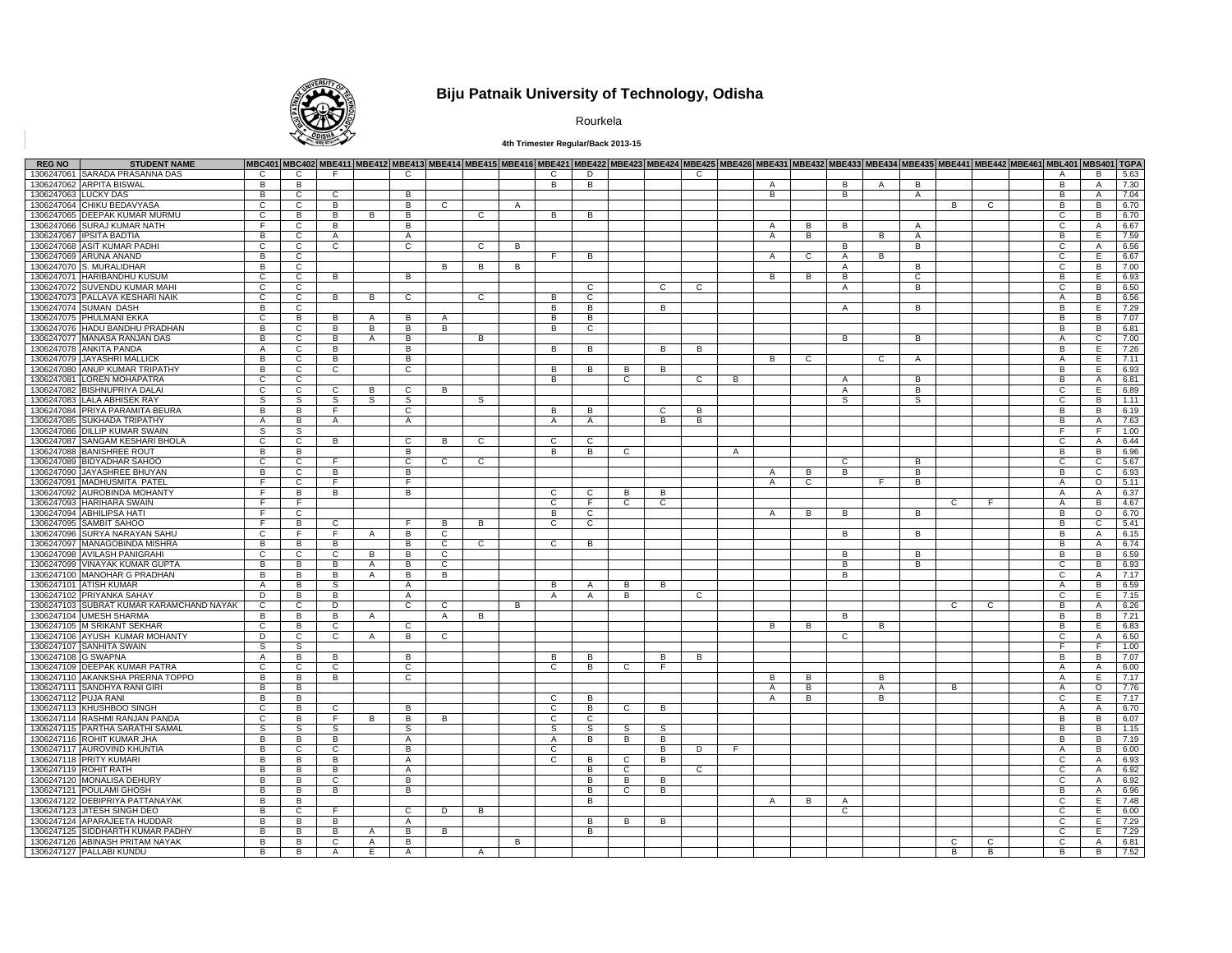

# **Biju Patnaik University of Technology, Odisha**

Rourkela

### **4th Trimester Regular/Back 2013-15**

| <b>REG NO</b>        | <b>STUDENT NAME</b>                      |                |                |                |                |                |                |              | MBC401 MBC402 MBE411 MBE412 MBE413 MBE414 MBE415 MBE416 MBE421 MBE422 MBE423 MBE424 MBE425 MBE426 MBE431 MBE432 MBE433 MBE434 MBE435 MBE4421 MBE442 MBE4401 MBL401 MBS401 TGPA |                |                |              |   |                |                |                |              |                |                |                |   |   |                |                |      |
|----------------------|------------------------------------------|----------------|----------------|----------------|----------------|----------------|----------------|--------------|--------------------------------------------------------------------------------------------------------------------------------------------------------------------------------|----------------|----------------|--------------|---|----------------|----------------|----------------|--------------|----------------|----------------|----------------|---|---|----------------|----------------|------|
|                      | 1306247061 SARADA PRASANNA DAS           | $\mathsf{C}$   | C              | F.             |                | $\mathbf{C}$   |                |              |                                                                                                                                                                                | $\mathbf{C}$   | D              |              |   | $\mathbf{C}$   |                |                |              |                |                |                |   |   | $\mathsf{A}$   | B              | 5.63 |
|                      | 1306247062 ARPITA BISWAL                 | B              | $\overline{B}$ |                |                |                |                |              |                                                                                                                                                                                | B              | $\overline{B}$ |              |   |                |                | $\overline{A}$ |              | <b>B</b>       | $\mathsf{A}$   | B              |   |   | <b>B</b>       | $\overline{A}$ | 7.30 |
| 1306247063 LUCKY DAS |                                          | B              | $\overline{c}$ | $\mathbf{C}$   |                | B              |                |              |                                                                                                                                                                                |                |                |              |   |                |                | $\overline{B}$ |              | B              |                | $\overline{A}$ |   |   | B              | $\overline{A}$ | 7.04 |
|                      | 1306247064 CHIKU BEDAVYASA               | C              | C              | B              |                | В              | $\overline{c}$ |              | $\mathsf{A}$                                                                                                                                                                   |                |                |              |   |                |                |                |              |                |                |                | В | C | в              | B              | 6.70 |
|                      | 1306247065 DEEPAK KUMAR MURMU            | C.             | B              | B              | B              | B              |                | C            |                                                                                                                                                                                | B.             | B.             |              |   |                |                |                |              |                |                |                |   |   | C              | B              | 6.70 |
|                      | 1306247066 SURAJ KUMAR NATH              | F.             | $\mathsf{C}$   | B              |                | B              |                |              |                                                                                                                                                                                |                |                |              |   |                |                | $\overline{A}$ | B            | B              |                | $\overline{A}$ |   |   | C              | $\mathsf{A}$   | 6.67 |
|                      | 1306247067 IPSITA BADTIA                 | В              | $\overline{c}$ | A              |                | A              |                |              |                                                                                                                                                                                |                |                |              |   |                |                | A              | <b>B</b>     |                | $\overline{B}$ | A              |   |   | $\overline{B}$ | E              | 7.59 |
|                      | 1306247068 ASIT KUMAR PADHI              | C              | $\overline{c}$ | C              |                | $\overline{c}$ |                | $\mathbf{C}$ | B                                                                                                                                                                              |                |                |              |   |                |                |                |              | B              |                | B              |   |   | C              | $\overline{A}$ | 6.56 |
|                      | 1306247069 ARUNA ANAND                   | B              | C              |                |                |                |                |              |                                                                                                                                                                                | F              | B              |              |   |                |                | $\overline{A}$ | C            | $\mathsf{A}$   | B              |                |   |   | C              | Е              | 6.67 |
|                      | 1306247070 S. MURALIDHAR                 | B              | $\mathbf{C}$   |                |                |                | B              | в            | B                                                                                                                                                                              |                |                |              |   |                |                |                |              | A              |                | в              |   |   | C              | B.             | 7.00 |
|                      | 1306247071 HARIBANDHU KUSUM              | C              | $\mathsf{C}$   |                |                | B              |                |              |                                                                                                                                                                                |                |                |              |   |                |                | B              | B            | B              |                | C              |   |   | В              | E              | 6.93 |
|                      |                                          | C              | $\overline{c}$ | B              |                |                |                |              |                                                                                                                                                                                |                | $\overline{c}$ |              |   | $\overline{c}$ |                |                |              |                |                |                |   |   | $\overline{c}$ |                |      |
|                      | 1306247072 SUVENDU KUMAR MAHI            |                |                |                |                |                |                |              |                                                                                                                                                                                |                |                |              | C |                |                |                |              | $\mathsf{A}$   |                | В              |   |   |                | B              | 6.50 |
|                      | 1306247073 PALLAVA KESHARI NAIK          | C              | $\mathbf{C}$   | B              | В              | $\mathbf{C}$   |                | C            |                                                                                                                                                                                | B              | C              |              |   |                |                |                |              |                |                |                |   |   | $\mathsf{A}$   | B              | 6.56 |
|                      | 1306247074 SUMAN DASH                    | B              | C              |                |                |                |                |              |                                                                                                                                                                                | B              | B              |              | B |                |                |                |              | $\mathsf{A}$   |                | B              |   |   | в              | Е              | 7.29 |
|                      | 1306247075 PHULMANI EKKA                 | C              | B              | B              | A              | в              | A              |              |                                                                                                                                                                                | В              | B              |              |   |                |                |                |              |                |                |                |   |   | в              | B              | 7.07 |
|                      | 1306247076 HADU BANDHU PRADHAN           | B              | $\mathsf{C}$   | B              | B              | B              | B              |              |                                                                                                                                                                                | B              | $\mathbf{C}$   |              |   |                |                |                |              |                |                |                |   |   | B              | B              | 6.81 |
|                      | 1306247077 MANASA RANJAN DAS             | В              | $\overline{c}$ | B              | A              | В              |                | B            |                                                                                                                                                                                |                |                |              |   |                |                |                |              | $\overline{B}$ |                | B              |   |   | A              | C              | 7.00 |
|                      | 1306247078 ANKITA PANDA                  | Α              | C              | B              |                | В              |                |              |                                                                                                                                                                                | B              | B              |              | B | в              |                |                |              |                |                |                |   |   | В              | Е              | 7.26 |
|                      | 1306247079 JAYASHRI MALLICK              | B              | C              | B              |                | В              |                |              |                                                                                                                                                                                |                |                |              |   |                |                | B              | C            |                | C              | Α              |   |   | A              | E              | 7.11 |
|                      | 1306247080 ANUP KUMAR TRIPATHY           | В              | C              | C              |                | С              |                |              |                                                                                                                                                                                | в              | В              | B            | B |                |                |                |              |                |                |                |   |   | в              | Е              | 6.93 |
|                      | 1306247081 LOREN MOHAPATRA               | C              | $\mathbf{C}$   |                |                |                |                |              |                                                                                                                                                                                | В              |                | C            |   | $\mathbf{C}$   | B              |                |              | $\overline{A}$ |                | B              |   |   | в              | $\overline{A}$ | 6.81 |
|                      | 1306247082 BISHNUPRIYA DALAI             | $\overline{c}$ | $\overline{c}$ | $\overline{c}$ | B              | $\overline{c}$ | B              |              |                                                                                                                                                                                |                |                |              |   |                |                |                |              | A              |                | B              |   |   | C              | Έ              | 6.89 |
|                      | 1306247083 LALA ABHISEK RAY              | S              | S              | S              | S              | S              |                | s            |                                                                                                                                                                                |                |                |              |   |                |                |                |              | S              |                | S              |   |   | $\mathsf{C}$   | B              | 1.11 |
|                      | 1306247084 PRIYA PARAMITA BEURA          | B              | $\overline{B}$ | F              |                | C              |                |              |                                                                                                                                                                                | R.             | $\overline{B}$ |              | C | B              |                |                |              |                |                |                |   |   | B              | $\overline{B}$ | 6.19 |
|                      | 1306247085 SUKHADA TRIPATHY              | A              | $\overline{B}$ | A              |                | A              |                |              |                                                                                                                                                                                | $\mathsf{A}$   | $\mathsf{A}$   |              | B | B              |                |                |              |                |                |                |   |   | в              | $\overline{A}$ | 7.63 |
|                      | 1306247086 DILLIP KUMAR SWAIN            | S.             | S.             |                |                |                |                |              |                                                                                                                                                                                |                |                |              |   |                |                |                |              |                |                |                |   |   | E              | E              | 1.00 |
|                      | 1306247087 SANGAM KESHARI BHOLA          | C              | $\overline{c}$ | B              |                | C              | B              | C            |                                                                                                                                                                                | $\overline{c}$ | c              |              |   |                |                |                |              |                |                |                |   |   | C              | A              | 6.44 |
|                      |                                          |                |                |                |                |                |                |              |                                                                                                                                                                                |                |                |              |   |                |                |                |              |                |                |                |   |   |                |                |      |
|                      | 1306247088 BANISHREE ROUT                | B              | B              |                |                | B              |                |              |                                                                                                                                                                                | B              | B              | $\mathbf{C}$ |   |                | $\overline{A}$ |                |              |                |                |                |   |   | B              | B              | 6.96 |
|                      | 1306247089 BIDYADHAR SAHOO               | C              | $\overline{c}$ | E              |                | C              | $\overline{c}$ | С            |                                                                                                                                                                                |                |                |              |   |                |                |                |              | C              |                | В              |   |   | C              | $\overline{c}$ | 5.67 |
|                      | 1306247090 JAYASHREE BHUYAN              | B              | C              | B              |                | В              |                |              |                                                                                                                                                                                |                |                |              |   |                |                | $\mathsf{A}$   | B            | B              |                | B              |   |   | в              | C              | 6.93 |
|                      | 1306247091 MADHUSMITA PATEI              | E              | $\mathbf{C}$   | E              |                | F              |                |              |                                                                                                                                                                                |                |                |              |   |                |                |                | $\mathsf{C}$ |                | E              | B              |   |   | A              | $\circ$        | 5.11 |
|                      | 1306247092 AUROBINDA MOHANTY             | Ŧ              | $\overline{B}$ | B              |                | В              |                |              |                                                                                                                                                                                | $\overline{c}$ | c              | В            | В |                |                |                |              |                |                |                |   |   | Α              | Α              | 6.37 |
|                      | 1306247093 HARIHARA SWAIN                | F.             | E              |                |                |                |                |              |                                                                                                                                                                                | C              | F              | C            | С |                |                |                |              |                |                |                | C | F | $\mathsf{A}$   | B              | 4.67 |
|                      | 1306247094 ABHILIPSA HATI                | F.             | C              |                |                |                |                |              |                                                                                                                                                                                | В              | c              |              |   |                |                | A              | в            | В              |                | B              |   |   | В              | $\circ$        | 6.70 |
|                      | 1306247095 SAMBIT SAHOO                  | F              | B              | C              |                | E              | B              | в            |                                                                                                                                                                                | C              | C              |              |   |                |                |                |              |                |                |                |   |   | в              | C              | 5.41 |
|                      | 1306247096 SURYA NARAYAN SAHU            | C              | F.             | E              | Α              | В              | $\mathbf{C}$   |              |                                                                                                                                                                                |                |                |              |   |                |                |                |              | B              |                | B              |   |   | B              | $\overline{A}$ | 6.15 |
|                      | 1306247097 MANAGOBINDA MISHRA            | B              | $\overline{B}$ | B              |                | В              | $\overline{c}$ | C            |                                                                                                                                                                                | $\overline{c}$ | в              |              |   |                |                |                |              |                |                |                |   |   | В              | Α              | 6.74 |
|                      | 1306247098 AVILASH PANIGRAHI             | C              | C              | C              | B              | В              | C              |              |                                                                                                                                                                                |                |                |              |   |                |                |                |              | в              |                | B              |   |   | B              | B              | 6.59 |
|                      | 1306247099 VINAYAK KUMAR GUPTA           | B              | B              | B              | A              | В              | $\mathbf{C}$   |              |                                                                                                                                                                                |                |                |              |   |                |                |                |              | В              |                | В              |   |   | C              | В              | 6.93 |
|                      | 1306247100 MANOHAR G PRADHAN             | В              | B              | В              | A              | B              | B              |              |                                                                                                                                                                                |                |                |              |   |                |                |                |              | в              |                |                |   |   | C              | Α              | 7.17 |
|                      | 1306247101 ATISH KUMAR                   | Α              | в              | s              |                | Α              |                |              |                                                                                                                                                                                | B              | A              | В            | B |                |                |                |              |                |                |                |   |   | A              | B              | 6.59 |
|                      | 1306247102 PRIYANKA SAHAY                | D              | B              | В              |                | Α              |                |              |                                                                                                                                                                                | $\overline{A}$ | Α              | B            |   | C              |                |                |              |                |                |                |   |   | C              | Е              | 7.15 |
|                      | 1306247103 SUBRAT KUMAR KARAMCHAND NAYAK | C              |                |                |                |                | C              |              |                                                                                                                                                                                |                |                |              |   |                |                |                |              |                |                |                | C |   | в              | $\mathsf{A}$   |      |
|                      |                                          |                | C              | D              |                | С              |                |              | в                                                                                                                                                                              |                |                |              |   |                |                |                |              |                |                |                |   | С |                |                | 6.26 |
|                      | 1306247104 UMESH SHARMA                  | в              | B              | B              | A              |                | A              | в            |                                                                                                                                                                                |                |                |              |   |                |                |                |              | в              |                |                |   |   | в              | B              | 7.21 |
|                      | 1306247105 M SRIKANT SEKHAR              | C.             | B              | $\mathbf{C}$   |                | C.             |                |              |                                                                                                                                                                                |                |                |              |   |                |                | В              | R            |                | B              |                |   |   | В              | E              | 6.83 |
|                      | 1306247106 AYUSH KUMAR MOHANTY           | $\overline{D}$ | $\overline{c}$ | $\overline{c}$ | $\overline{A}$ | B              | $\overline{c}$ |              |                                                                                                                                                                                |                |                |              |   |                |                |                |              | $\overline{c}$ |                |                |   |   | $\overline{c}$ | $\overline{A}$ | 6.50 |
|                      | 1306247107 SANHITA SWAIN                 | s              | s              |                |                |                |                |              |                                                                                                                                                                                |                |                |              |   |                |                |                |              |                |                |                |   |   | E              |                | 1.00 |
| 1306247108 G SWAPNA  |                                          | A              | B              | B              |                | B              |                |              |                                                                                                                                                                                | B              | B              |              | B | B              |                |                |              |                |                |                |   |   | B              | B              | 7.07 |
|                      | 1306247109 DEEPAK KUMAR PATRA            | C              | C              | C              |                | С              |                |              |                                                                                                                                                                                | C              | в              | C            | F |                |                |                |              |                |                |                |   |   | Α              | A              | 6.00 |
|                      | 1306247110 AKANKSHA PRERNA TOPPO         | B              | $\overline{B}$ | В              |                | C              |                |              |                                                                                                                                                                                |                |                |              |   |                |                | B              | B            |                | B              |                |   |   | A              | Е              | 7.17 |
|                      | 1306247111 SANDHYA RANI GIRI             | B              | в              |                |                |                |                |              |                                                                                                                                                                                |                |                |              |   |                |                | $\overline{A}$ | B            |                | Α              |                | B |   | A              | $\circ$        | 7.76 |
| 1306247112 PUJA RANI |                                          | B              | B              |                |                |                |                |              |                                                                                                                                                                                | C              | B              |              |   |                |                | $\mathsf{A}$   | B            |                | B              |                |   |   | C              | E              | 7.17 |
|                      | 1306247113 KHUSHBOO SINGH                | $\mathsf{C}$   | B              | $\mathbf{C}$   |                | B              |                |              |                                                                                                                                                                                | C              | B              | $\mathsf{C}$ | В |                |                |                |              |                |                |                |   |   | A              | $\mathsf{A}$   | 6.70 |
|                      | 1306247114 RASHMI RANJAN PANDA           | C              | B              | F              | B              | B              | B              |              |                                                                                                                                                                                | C              | C              |              |   |                |                |                |              |                |                |                |   |   | в              | B              | 6.07 |
|                      | 1306247115 PARTHA SARATHI SAMAL          | S              | S              | s              |                | s              |                |              |                                                                                                                                                                                | S              | s              | S            | s |                |                |                |              |                |                |                |   |   | в              | B              | 1.15 |
|                      | 1306247116 ROHIT KUMAR JHA               | В              | в              | B              |                | Α              |                |              |                                                                                                                                                                                | Α              | B              | В            | В |                |                |                |              |                |                |                |   |   | В              | B              | 7.19 |
|                      | 1306247117 AUROVIND KHUNTIA              | B              | C              | C              |                | В              |                |              |                                                                                                                                                                                | C              |                |              | В | D              | F.             |                |              |                |                |                |   |   | Α              | B              | 6.00 |
|                      | 1306247118 PRITY KUMARI                  | B              |                |                |                |                |                |              |                                                                                                                                                                                | $\mathbf{C}$   |                |              |   |                |                |                |              |                |                |                |   |   | C              |                |      |
|                      |                                          |                | B              | В              |                | Α              |                |              |                                                                                                                                                                                |                | В              | C            | B |                |                |                |              |                |                |                |   |   |                | Α              | 6.93 |
|                      | 1306247119 ROHIT RATH                    | В              | B              | B              |                | A              |                |              |                                                                                                                                                                                |                | B              | C            |   | C              |                |                |              |                |                |                |   |   | C              | A              | 6.92 |
|                      | 1306247120 MONALISA DEHURY               | B              | B              | C              |                | B              |                |              |                                                                                                                                                                                |                | B              | B            | B |                |                |                |              |                |                |                |   |   | C              | $\overline{A}$ | 6.92 |
|                      | 1306247121 POULAMI GHOSH                 | В              | в              | В              |                | В              |                |              |                                                                                                                                                                                |                | B              | С            | B |                |                |                |              |                |                |                |   |   | В              | $\overline{A}$ | 6.96 |
|                      | 1306247122 DEBIPRIYA PATTANAYAK          | B              | B              |                |                |                |                |              |                                                                                                                                                                                |                | B              |              |   |                |                | A              | B            | Α              |                |                |   |   | C              | E              | 7.48 |
|                      | 1306247123 JITESH SINGH DEO              | B              | C              | F.             |                | C              | D              | в            |                                                                                                                                                                                |                |                |              |   |                |                |                |              | C              |                |                |   |   | С              | E              | 6.00 |
|                      | 1306247124 APARAJEETA HUDDAR             | В              | B              | B              |                | A              |                |              |                                                                                                                                                                                |                | в              | B            | в |                |                |                |              |                |                |                |   |   | C              | E              | 7.29 |
|                      | 1306247125 SIDDHARTH KUMAR PADHY         | B              | B              | В              | $\overline{A}$ | B              | B              |              |                                                                                                                                                                                |                | B              |              |   |                |                |                |              |                |                |                |   |   | C              | E              | 7.29 |
|                      | 1306247126 ABINASH PRITAM NAYAK          | В              | B              | C              | Α              | В              |                |              | В                                                                                                                                                                              |                |                |              |   |                |                |                |              |                |                |                | С | C | C              | A              | 6.81 |
|                      | 1306247127 PALLABI KUNDU                 | В              | В              | A              | E.             | Α              |                | A            |                                                                                                                                                                                |                |                |              |   |                |                |                |              |                |                |                | В | В | В              | В              | 7.52 |